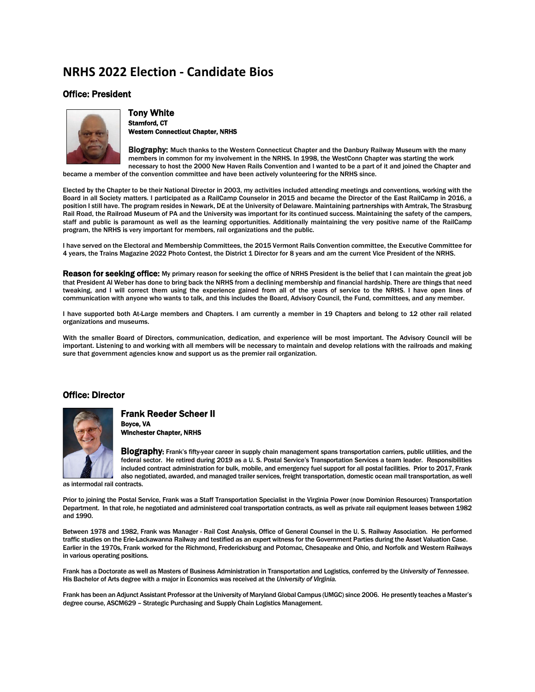### **NRHS 2022 Election - Candidate Bios**

#### Office: President



Tony White<br><sub>Stamford, CT</sub> Western Connecticut Chapter, NRHS

Biography: Much thanks to the Western Connecticut Chapter and the Danbury Railway Museum with the many members in common for my involvement in the NRHS. In 1998, the WestConn Chapter was starting the work necessary to host the 2000 New Haven Rails Convention and I wanted to be a part of it and joined the Chapter and

became a member of the convention committee and have been actively volunteering for the NRHS since.

Elected by the Chapter to be their National Director in 2003, my activities included attending meetings and conventions, working with the Board in all Society matters. I participated as a RailCamp Counselor in 2015 and became the Director of the East RailCamp in 2016, a position I still have. The program resides in Newark, DE at the University of Delaware. Maintaining partnerships with Amtrak, The Strasburg Rail Road, the Railroad Museum of PA and the University was important for its continued success. Maintaining the safety of the campers, staff and public is paramount as well as the learning opportunities. Additionally maintaining the very positive name of the RailCamp program, the NRHS is very important for members, rail organizations and the public.

I have served on the Electoral and Membership Committees, the 2015 Vermont Rails Convention committee, the Executive Committee for 4 years, the Trains Magazine 2022 Photo Contest, the District 1 Director for 8 years and am the current Vice President of the NRHS.

Reason for seeking office: My primary reason for seeking the office of NRHS President is the belief that I can maintain the great job that President Al Weber has done to bring back the NRHS from a declining membership and financial hardship. There are things that need tweaking, and I will correct them using the experience gained from all of the years of service to the NRHS. I have open lines of communication with anyone who wants to talk, and this includes the Board, Advisory Council, the Fund, committees, and any member.

I have supported both At-Large members and Chapters. I am currently a member in 19 Chapters and belong to 12 other rail related organizations and museums.

With the smaller Board of Directors, communication, dedication, and experience will be most important. The Advisory Council will be important. Listening to and working with all members will be necessary to maintain and develop relations with the railroads and making sure that government agencies know and support us as the premier rail organization.

#### Office: Director



Frank Reeder Scheer II<br><sub>Boyce,</sub> va Winchester Chapter, NRHS

Biography: Frank's fifty-year career in supply chain management spans transportation carriers, public utilities, and the federal sector. He retired during 2019 as a U. S. Postal Service's Transportation Services a team leader. Responsibilities included contract administration for bulk, mobile, and emergency fuel support for all postal facilities. Prior to 2017, Frank also negotiated, awarded, and managed trailer services, freight transportation, domestic ocean mail transportation, as well

as intermodal rail contracts.

Prior to joining the Postal Service, Frank was a Staff Transportation Specialist in the Virginia Power (now Dominion Resources) Transportation Department. In that role, he negotiated and administered coal transportation contracts, as well as private rail equipment leases between 1982 and 1990.

Between 1978 and 1982, Frank was Manager - Rail Cost Analysis, Office of General Counsel in the U. S. Railway Association. He performed traffic studies on the Erie-Lackawanna Railway and testified as an expert witness for the Government Parties during the Asset Valuation Case. Earlier in the 1970s, Frank worked for the Richmond, Fredericksburg and Potomac, Chesapeake and Ohio, and Norfolk and Western Railways in various operating positions.

Frank has a Doctorate as well as Masters of Business Administration in Transportation and Logistics, conferred by the *University of Tennessee.* His Bachelor of Arts degree with a major in Economics was received at the *University of Virginia.*

Frank has been an Adjunct Assistant Professor at the University of Maryland Global Campus (UMGC) since 2006. He presently teaches a Master's degree course, ASCM629 – Strategic Purchasing and Supply Chain Logistics Management.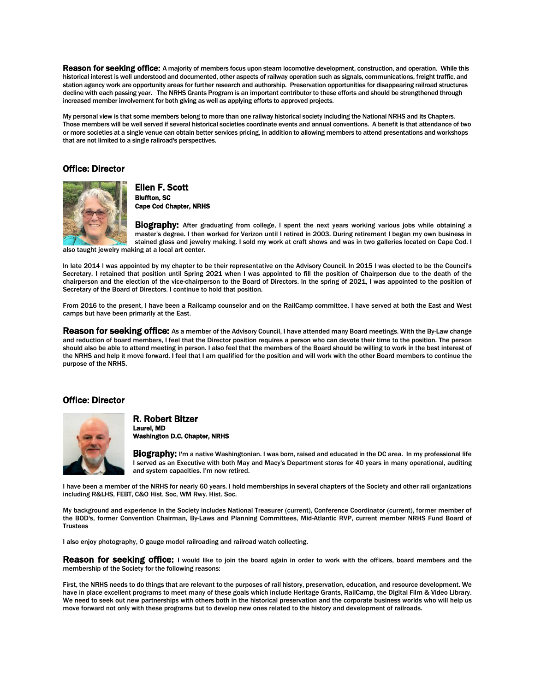Reason for seeking office: A majority of members focus upon steam locomotive development, construction, and operation. While this historical interest is well understood and documented, other aspects of railway operation such as signals, communications, freight traffic, and station agency work are opportunity areas for further research and authorship. Preservation opportunities for disappearing railroad structures decline with each passing year. The NRHS Grants Program is an important contributor to these efforts and should be strengthened through increased member involvement for both giving as well as applying efforts to approved projects.

My personal view is that some members belong to more than one railway historical society including the National NRHS and its Chapters. Those members will be well served if several historical societies coordinate events and annual conventions. A benefit is that attendance of two or more societies at a single venue can obtain better services pricing, in addition to allowing members to attend presentations and workshops that are not limited to a single railroad's perspectives.

#### Office: Director



Ellen F. Scott<br>Bluffton, SC Cape Cod Chapter, NRHS

Biography: After graduating from college, I spent the next years working various jobs while obtaining a master's degree. I then worked for Verizon until I retired in 2003. During retirement I began my own business in stained glass and jewelry making. I sold my work at craft shows and was in two galleries located on Cape Cod. I

also taught jewelry making at a local art center.

ln late 2014 l was appointed by my chapter to be their representative on the Advisory Council. ln 2015 l was elected to be the Council's Secretary. I retained that position until Spring 2021 when I was appointed to fill the position of Chairperson due to the death of the chairperson and the election of the vice-chairperson to the Board of Directors. ln the spring of 2021, I was appointed to the position of Secretary of the Board of Directors. I continue to hold that position.

From 2016 to the present, I have been a Railcamp counselor and on the RailCamp committee. I have served at both the East and West camps but have been primarily at the East.

Reason for seeking office: As a member of the Advisory Council, I have attended many Board meetings. With the By-Law change and reduction of board members, I feel that the Director position requires a person who can devote their time to the position. The person should also be able to attend meeting in person. I also feel that the members of the Board should be willing to work in the best interest of the NRHS and help it move forward. I feel that I am qualified for the position and will work with the other Board members to continue the purpose of the NRHS.

#### Office: Director



### R. Robert Bitzer Laurel, MD Washington D.C. Chapter, NRHS

**Biography:** I'm a native Washingtonian. I was born, raised and educated in the DC area. In my professional life I served as an Executive with both May and Macy's Department stores for 40 years in many operational, auditing and system capacities. I'm now retired.

I have been a member of the NRHS for nearly 60 years. I hold memberships in several chapters of the Society and other rail organizations including R&LHS, FEBT, C&O Hist. Soc, WM Rwy. Hist. Soc.

My background and experience in the Society includes National Treasurer (current), Conference Coordinator (current), former member of the BOD's, former Convention Chairman, By-Laws and Planning Committees, Mid-Atlantic RVP, current member NRHS Fund Board of **Trustees** 

I also enjoy photography, O gauge model railroading and railroad watch collecting.

Reason for seeking office: I would like to join the board again in order to work with the officers, board members and the membership of the Society for the following reasons:

First, the NRHS needs to do things that are relevant to the purposes of rail history, preservation, education, and resource development. We have in place excellent programs to meet many of these goals which include Heritage Grants, RailCamp, the Digital Film & Video Library. We need to seek out new partnerships with others both in the historical preservation and the corporate business worlds who will help us move forward not only with these programs but to develop new ones related to the history and development of railroads.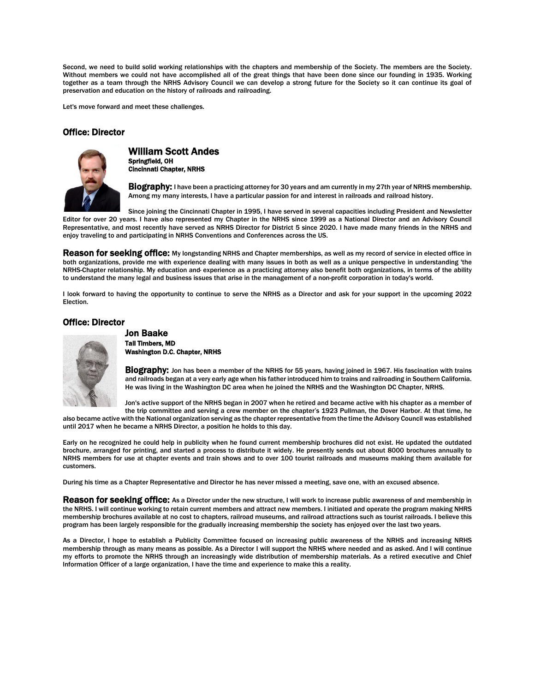Second, we need to build solid working relationships with the chapters and membership of the Society. The members are the Society. Without members we could not have accomplished all of the great things that have been done since our founding in 1935. Working together as a team through the NRHS Advisory Council we can develop a strong future for the Society so it can continue its goal of preservation and education on the history of railroads and railroading.

Let's move forward and meet these challenges.

#### Office: Director



William Scott Andes<br><sub>Springfield</sub>, <sub>OH</sub> Cincinnati Chapter, NRHS

**Biography:** I have been a practicing attorney for 30 years and am currently in my 27th year of NRHS membership. Among my many interests, I have a particular passion for and interest in railroads and railroad history.

Since joining the Cincinnati Chapter in 1995, I have served in several capacities including President and Newsletter Editor for over 20 years. I have also represented my Chapter in the NRHS since 1999 as a National Director and an Advisory Council Representative, and most recently have served as NRHS Director for District 5 since 2020. I have made many friends in the NRHS and enjoy traveling to and participating in NRHS Conventions and Conferences across the US.

Reason for seeking office: My longstanding NRHS and Chapter memberships, as well as my record of service in elected office in both organizations, provide me with experience dealing with many issues in both as well as a unique perspective in understanding 'the NRHS-Chapter relationship. My education and· experience as a practicing attorney also benefit both organizations, in terms of the ability to understand the many legal and business issues that arise in the management of a non-profit corporation in today's world.

I look forward to having the opportunity to continue to serve the NRHS as a Director and ask for your support in the upcoming 2022 Election.

#### Office: Director



**Jon Baake<br>Tall Timbers, MD** Washington D.C. Chapter, NRHS

Biography: Jon has been a member of the NRHS for 55 years, having joined in 1967. His fascination with trains and railroads began at a very early age when his father introduced him to trains and railroading in Southern California. He was living in the Washington DC area when he joined the NRHS and the Washington DC Chapter, NRHS.

Jon's active support of the NRHS began in 2007 when he retired and became active with his chapter as a member of

the trip committee and serving a crew member on the chapter's 1923 Pullman, the Dover Harbor. At that time, he also became active with the National organization serving as the chapter representative from the time the Advisory Council was established until 2017 when he became a NRHS Director, a position he holds to this day.

Early on he recognized he could help in publicity when he found current membership brochures did not exist. He updated the outdated brochure, arranged for printing, and started a process to distribute it widely. He presently sends out about 8000 brochures annually to NRHS members for use at chapter events and train shows and to over 100 tourist railroads and museums making them available for customers.

During his time as a Chapter Representative and Director he has never missed a meeting, save one, with an excused absence.

Reason for seeking office: As a Director under the new structure, I will work to increase public awareness of and membership in the NRHS. I will continue working to retain current members and attract new members. I initiated and operate the program making NHRS membership brochures available at no cost to chapters, railroad museums, and railroad attractions such as tourist railroads. I believe this program has been largely responsible for the gradually increasing membership the society has enjoyed over the last two years.

As a Director, I hope to establish a Publicity Committee focused on increasing public awareness of the NRHS and increasing NRHS membership through as many means as possible. As a Director I will support the NRHS where needed and as asked. And I will continue my efforts to promote the NRHS through an increasingly wide distribution of membership materials. As a retired executive and Chief lnformation Officer of a large organization, I have the time and experience to make this a reality.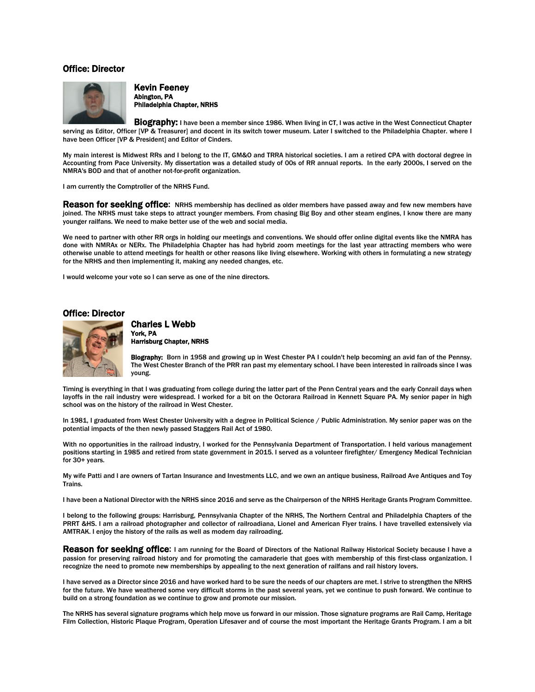#### Office: Director



Kevin Feeney Abington, PA Philadelphia Chapter, NRHS

**Biography:** I have been a member since 1986. When living in CT, I was active in the West Connecticut Chapter serving as Editor, Officer [VP & Treasurer] and docent in its switch tower museum. Later I switched to the Philadelphia Chapter. where I have been Officer [VP & President] and Editor of Cinders.

My main interest is Midwest RRs and I belong to the IT, GM&O and TRRA historical societies. I am a retired CPA with doctoral degree in Accounting from Pace University. My dissertation was a detailed study of 00s of RR annual reports. In the early 2000s, I served on the NMRA's BOD and that of another not-for-profit organization.

I am currently the Comptroller of the NRHS Fund.

**Reason for seeking office:** NRHS membership has declined as older members have passed away and few new members have joined. The NRHS must take steps to attract younger members. From chasing Big Boy and other steam engines, I know there are many younger railfans. We need to make better use of the web and social media.

We need to partner with other RR orgs in holding our meetings and conventions. We should offer online digital events like the NMRA has done with NMRAx or NERx. The Philadelphia Chapter has had hybrid zoom meetings for the last year attracting members who were otherwise unable to attend meetings for health or other reasons like living elsewhere. Working with others in formulating a new strategy for the NRHS and then implementing it, making any needed changes, etc.

I would welcome your vote so I can serve as one of the nine directors.

#### Office: Director



## Charles L Webb York, PA

Harrisburg Chapter, NRHS

Biography: Born in 1958 and growing up in West Chester PA I couldn't help becoming an avid fan of the Pennsy. The West Chester Branch of the PRR ran past my elementary school. I have been interested in railroads since I was young.

Timing is everything in that I was graduating from college during the latter part of the Penn Central years and the early Conrail days when layoffs in the rail industry were widespread. I worked for a bit on the Octorara Railroad in Kennett Square PA. My senior paper in high school was on the history of the railroad in West Chester.

In 1981, I graduated from West Chester University with a degree in Political Science / Public Administration. My senior paper was on the potential impacts of the then newly passed Staggers Rail Act of 1980.

With no opportunities in the railroad industry, I worked for the Pennsylvania Department of Transportation. I held various management positions starting in 1985 and retired from state government in 2015. I served as a volunteer firefighter/ Emergency Medical Technician for 30+ years.

My wife Patti and I are owners of Tartan Insurance and Investments LLC, and we own an antique business, Railroad Ave Antiques and Toy Trains.

I have been a National Director with the NRHS since 2016 and serve as the Chairperson of the NRHS Heritage Grants Program Committee.

I belong to the following groups: Harrisburg, Pennsylvania Chapter of the NRHS, The Northern Central and Philadelphia Chapters of the PRRT &HS. I am a railroad photographer and collector of railroadiana, Lionel and American Flyer trains. I have travelled extensively via AMTRAK. I enjoy the history of the rails as well as modem day railroading.

Reason for seeking office: I am running for the Board of Directors of the National Railway Historical Society because I have a passion for preserving railroad history and for promoting the camaraderie that goes with membership of this first-class organization. I recognize the need to promote new memberships by appealing to the next generation of railfans and rail history lovers.

I have served as a Director since 2016 and have worked hard to be sure the needs of our chapters are met. I strive to strengthen the NRHS for the future. We have weathered some very difficult storms in the past several years, yet we continue to push forward. We continue to build on a strong foundation as we continue to grow and promote our mission.

The NRHS has several signature programs which help move us forward in our mission. Those signature programs are Rail Camp, Heritage Film Collection, Historic Plaque Program, Operation Lifesaver and of course the most important the Heritage Grants Program. I am a bit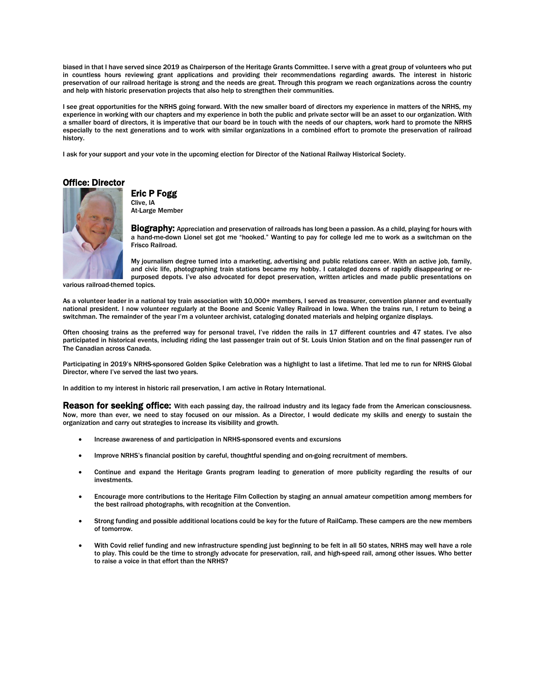biased in that I have served since 2019 as Chairperson of the Heritage Grants Committee. I serve with a great group of volunteers who put in countless hours reviewing grant applications and providing their recommendations regarding awards. The interest in historic preservation of our railroad heritage is strong and the needs are great. Through this program we reach organizations across the country and help with historic preservation projects that also help to strengthen their communities.

I see great opportunities for the NRHS going forward. With the new smaller board of directors my experience in matters of the NRHS, my experience in working with our chapters and my experience in both the public and private sector will be an asset to our organization. With a smaller board of directors, it is imperative that our board be in touch with the needs of our chapters, work hard to promote the NRHS especially to the next generations and to work with similar organizations in a combined effort to promote the preservation of railroad history.

I ask for your support and your vote in the upcoming election for Director of the National Railway Historical Society.

Office: Director



# Eric P Fogg<br>Clive, IA

At-Large Member

Biography: Appreciation and preservation of railroads has long been a passion. As a child, playing for hours with a hand-me-down Lionel set got me "hooked." Wanting to pay for college led me to work as a switchman on the Frisco Railroad.

My journalism degree turned into a marketing, advertising and public relations career. With an active job, family, and civic life, photographing train stations became my hobby. I cataloged dozens of rapidly disappearing or repurposed depots. I've also advocated for depot preservation, written articles and made public presentations on

various railroad-themed topics.

As a volunteer leader in a national toy train association with 10,000+ members, I served as treasurer, convention planner and eventually national president. I now volunteer regularly at the Boone and Scenic Valley Railroad in Iowa. When the trains run, I return to being a switchman. The remainder of the year I'm a volunteer archivist, cataloging donated materials and helping organize displays.

Often choosing trains as the preferred way for personal travel, I've ridden the rails in 17 different countries and 47 states. I've also participated in historical events, including riding the last passenger train out of St. Louis Union Station and on the final passenger run of The Canadian across Canada.

Participating in 2019's NRHS-sponsored Golden Spike Celebration was a highlight to last a lifetime. That led me to run for NRHS Global Director, where I've served the last two years.

In addition to my interest in historic rail preservation, I am active in Rotary International.

**Reason for seeking office:** With each passing day, the railroad industry and its legacy fade from the American consciousness. Now, more than ever, we need to stay focused on our mission. As a Director, I would dedicate my skills and energy to sustain the organization and carry out strategies to increase its visibility and growth.

- Increase awareness of and participation in NRHS-sponsored events and excursions
- Improve NRHS's financial position by careful, thoughtful spending and on-going recruitment of members.
- Continue and expand the Heritage Grants program leading to generation of more publicity regarding the results of our investments.
- Encourage more contributions to the Heritage Film Collection by staging an annual amateur competition among members for the best railroad photographs, with recognition at the Convention.
- Strong funding and possible additional locations could be key for the future of RailCamp. These campers are the new members of tomorrow.
- With Covid relief funding and new infrastructure spending just beginning to be felt in all 50 states, NRHS may well have a role to play. This could be the time to strongly advocate for preservation, rail, and high-speed rail, among other issues. Who better to raise a voice in that effort than the NRHS?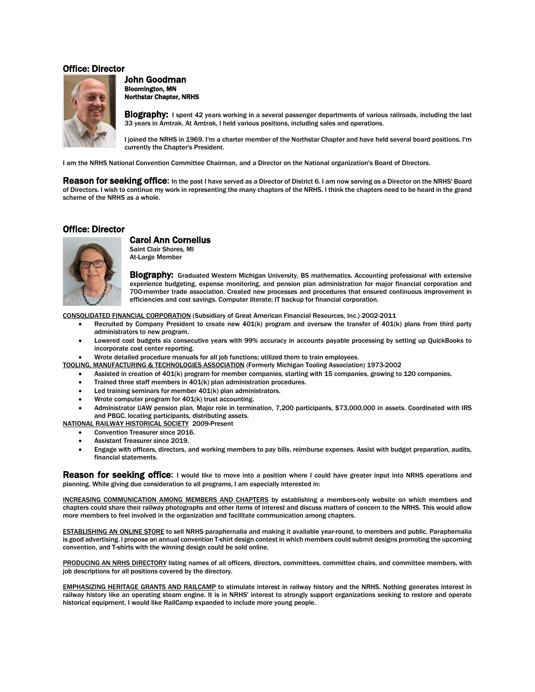#### Office: Director



John Goodman<br>Bloomington, MN Northstar Chapter, NRHS

Biography: I spent 42 years working in a several passenger departments of various railroads, including the last 33 years in Amtrak. At Amtrak, I held various positions, including sales and operations.

I joined the NRHS in 1969. I'm a charter member of the Northstar Chapter and have held several board positions. I'm currently the Chapter's President.

I am the NRHS National Convention Committee Chairman, and a Director on the National organization's Board of Directors.

Reason for seeking office: In the past I have served as a Director of District 6. I am now serving as a Director on the NRHS' Board of Directors. I wish to continue my work in representing the many chapters of the NRHS. I think the chapters need to be heard in the grand scheme of the NRHS as a whole.

#### Office: Director



## **Carol Ann Cornelius**<br>Saint Clair Shores, MI

At-Large Member

Biography: Graduated Western Michigan University, BS mathematics. Accounting professional with extensive experience budgeting, expense monitoring, and pension plan administration for major financial corporation and 700-member trade association. Created new processes and procedures that ensured continuous improvement in efficiencies and cost savings. Computer literate; IT backup for financial corporation.

CONSOLIDATED FINANCIAL CORPORATION (Subsidiary of Great American Financial Resources, Inc.) 2002-2011

- Recruited by Company President to create new 401(k) program and oversaw the transfer of 401(k) plans from third party administrators to new program.
- Lowered cost budgets six consecutive years with 99% accuracy in accounts payable processing by setting up QuickBooks to incorporate cost center reporting.

• Wrote detailed procedure manuals for all job functions; utilized them to train employees.

- TOOLING, MANUFACTURING & TECHNOLOGIES ASSOCIATION (Formerly Michigan Tooling Association) 1973-2002
	- Assisted in creation of 401(k) program for member companies, starting with 15 companies, growing to 120 companies.
	- Trained three staff members in 401(k) plan administration procedures.
	- Led training seminars for member  $401(k)$  plan administrators.
	- Wrote computer program for 401(k) trust accounting.
	- Administrator UAW pension plan. Major role in termination, 7,200 participants, \$73,000,000 in assets. Coordinated with IRS and PBGC, locating participants, distributing assets.

NATIONAL RAILWAY HISTORICAL SOCIETY 2009-Present

- Convention Treasurer since 2016.
- Assistant Treasurer since 2019.
- Engage with officers, directors, and working members to pay bills, reimburse expenses. Assist with budget preparation, audits, financial statements.

Reason for seeking office: I would like to move into a position where I could have greater input into NRHS operations and planning. While giving due consideration to all programs, I am especially interested in:

INCREASING COMMUNICATION AMONG MEMBERS AND CHAPTERS by establishing a members-only website on which members and chapters could share their railway photographs and other items of interest and discuss matters of concern to the NRHS. This would allow more members to feel involved in the organization and facilitate communication among chapters.

ESTABLISHING AN ONLINE STORE to sell NRHS paraphernalia and making it available year-round, to members and public. Paraphernalia is good advertising. l propose an annual convention T-shirt design contest in which members could submit designs promoting the upcoming convention, and T-shirts with the winning design could be sold online.

PRODUCING AN NRHS DIRECTORY listing names of all officers, directors, committees, committee chairs, and committee members, with job descriptions for all positions covered by the directory.

EMPHASIZING HERITAGE GRANTS AND RAILCAMP to stimulate interest in railway history and the NRHS. Nothing generates interest in railway history like an operating steam engine. It is in NRHS' interest to strongly support organizations seeking to restore and operate historical equipment. I would like RailCamp expanded to include more young people.